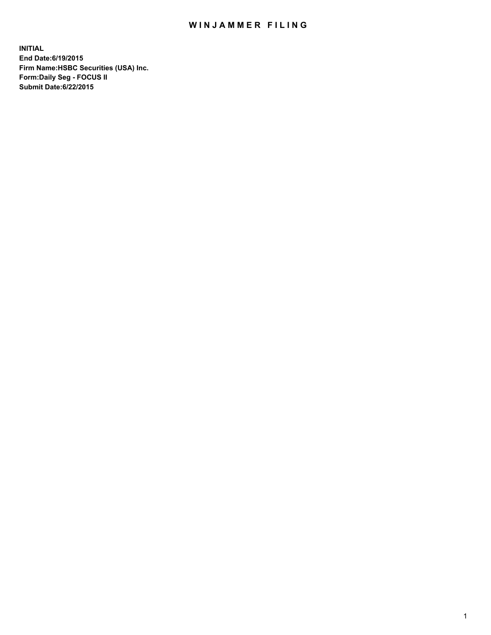## WIN JAMMER FILING

**INITIAL End Date:6/19/2015 Firm Name:HSBC Securities (USA) Inc. Form:Daily Seg - FOCUS II Submit Date:6/22/2015**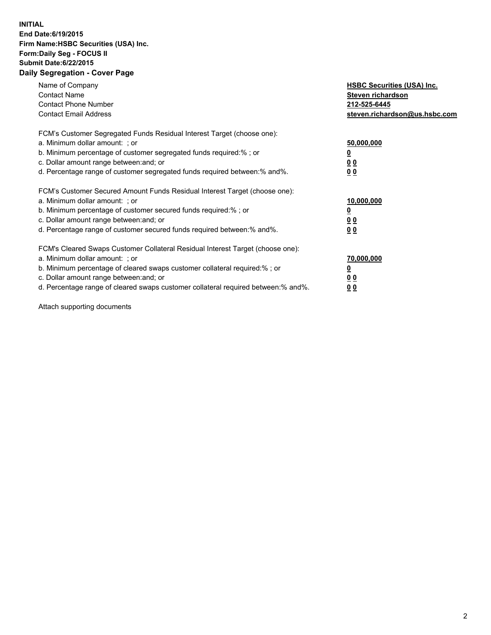## **INITIAL End Date:6/19/2015 Firm Name:HSBC Securities (USA) Inc. Form:Daily Seg - FOCUS II Submit Date:6/22/2015 Daily Segregation - Cover Page**

| Name of Company<br><b>Contact Name</b><br><b>Contact Phone Number</b><br><b>Contact Email Address</b>                                                                                                                                                                                                                         | <b>HSBC Securities (USA) Inc.</b><br>Steven richardson<br>212-525-6445<br>steven.richardson@us.hsbc.com |
|-------------------------------------------------------------------------------------------------------------------------------------------------------------------------------------------------------------------------------------------------------------------------------------------------------------------------------|---------------------------------------------------------------------------------------------------------|
| FCM's Customer Segregated Funds Residual Interest Target (choose one):<br>a. Minimum dollar amount: ; or<br>b. Minimum percentage of customer segregated funds required:%; or<br>c. Dollar amount range between: and; or<br>d. Percentage range of customer segregated funds required between:% and%.                         | 50,000,000<br>00<br>0 <sub>0</sub>                                                                      |
| FCM's Customer Secured Amount Funds Residual Interest Target (choose one):<br>a. Minimum dollar amount: ; or<br>b. Minimum percentage of customer secured funds required:%; or<br>c. Dollar amount range between: and; or<br>d. Percentage range of customer secured funds required between:% and%.                           | 10,000,000<br>0 <sub>0</sub><br>00                                                                      |
| FCM's Cleared Swaps Customer Collateral Residual Interest Target (choose one):<br>a. Minimum dollar amount: ; or<br>b. Minimum percentage of cleared swaps customer collateral required:%; or<br>c. Dollar amount range between: and; or<br>d. Percentage range of cleared swaps customer collateral required between:% and%. | 70,000,000<br><u>00</u><br><u>00</u>                                                                    |

Attach supporting documents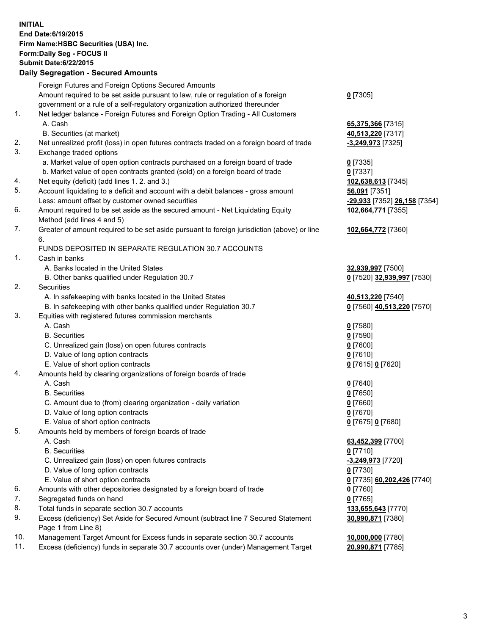**INITIAL End Date:6/19/2015 Firm Name:HSBC Securities (USA) Inc. Form:Daily Seg - FOCUS II Submit Date:6/22/2015 Daily Segregation - Secured Amounts**

| Dany Jegregation - Jecured Aniounts                                                         |                                                                                                                                                                                                                                                                                                                                                                                                                                                                                                                                                                                                                                                                                                                                                                                                                                                                                                                                                                                                                                                                                                                                                                                                                                         |
|---------------------------------------------------------------------------------------------|-----------------------------------------------------------------------------------------------------------------------------------------------------------------------------------------------------------------------------------------------------------------------------------------------------------------------------------------------------------------------------------------------------------------------------------------------------------------------------------------------------------------------------------------------------------------------------------------------------------------------------------------------------------------------------------------------------------------------------------------------------------------------------------------------------------------------------------------------------------------------------------------------------------------------------------------------------------------------------------------------------------------------------------------------------------------------------------------------------------------------------------------------------------------------------------------------------------------------------------------|
| Foreign Futures and Foreign Options Secured Amounts                                         |                                                                                                                                                                                                                                                                                                                                                                                                                                                                                                                                                                                                                                                                                                                                                                                                                                                                                                                                                                                                                                                                                                                                                                                                                                         |
| Amount required to be set aside pursuant to law, rule or regulation of a foreign            | $0$ [7305]                                                                                                                                                                                                                                                                                                                                                                                                                                                                                                                                                                                                                                                                                                                                                                                                                                                                                                                                                                                                                                                                                                                                                                                                                              |
| government or a rule of a self-regulatory organization authorized thereunder                |                                                                                                                                                                                                                                                                                                                                                                                                                                                                                                                                                                                                                                                                                                                                                                                                                                                                                                                                                                                                                                                                                                                                                                                                                                         |
| Net ledger balance - Foreign Futures and Foreign Option Trading - All Customers             |                                                                                                                                                                                                                                                                                                                                                                                                                                                                                                                                                                                                                                                                                                                                                                                                                                                                                                                                                                                                                                                                                                                                                                                                                                         |
| A. Cash                                                                                     | 65,375,366 [7315]                                                                                                                                                                                                                                                                                                                                                                                                                                                                                                                                                                                                                                                                                                                                                                                                                                                                                                                                                                                                                                                                                                                                                                                                                       |
| B. Securities (at market)                                                                   | 40,513,220 [7317]                                                                                                                                                                                                                                                                                                                                                                                                                                                                                                                                                                                                                                                                                                                                                                                                                                                                                                                                                                                                                                                                                                                                                                                                                       |
| Net unrealized profit (loss) in open futures contracts traded on a foreign board of trade   | -3,249,973 [7325]                                                                                                                                                                                                                                                                                                                                                                                                                                                                                                                                                                                                                                                                                                                                                                                                                                                                                                                                                                                                                                                                                                                                                                                                                       |
| Exchange traded options                                                                     |                                                                                                                                                                                                                                                                                                                                                                                                                                                                                                                                                                                                                                                                                                                                                                                                                                                                                                                                                                                                                                                                                                                                                                                                                                         |
| a. Market value of open option contracts purchased on a foreign board of trade              | $0$ [7335]                                                                                                                                                                                                                                                                                                                                                                                                                                                                                                                                                                                                                                                                                                                                                                                                                                                                                                                                                                                                                                                                                                                                                                                                                              |
| b. Market value of open contracts granted (sold) on a foreign board of trade                | $0$ [7337]                                                                                                                                                                                                                                                                                                                                                                                                                                                                                                                                                                                                                                                                                                                                                                                                                                                                                                                                                                                                                                                                                                                                                                                                                              |
| Net equity (deficit) (add lines 1.2. and 3.)                                                | 102,638,613 [7345]                                                                                                                                                                                                                                                                                                                                                                                                                                                                                                                                                                                                                                                                                                                                                                                                                                                                                                                                                                                                                                                                                                                                                                                                                      |
| Account liquidating to a deficit and account with a debit balances - gross amount           | 56,091 [7351]                                                                                                                                                                                                                                                                                                                                                                                                                                                                                                                                                                                                                                                                                                                                                                                                                                                                                                                                                                                                                                                                                                                                                                                                                           |
| Less: amount offset by customer owned securities                                            | -29,933 [7352] 26,158 [7354]                                                                                                                                                                                                                                                                                                                                                                                                                                                                                                                                                                                                                                                                                                                                                                                                                                                                                                                                                                                                                                                                                                                                                                                                            |
| Amount required to be set aside as the secured amount - Net Liquidating Equity              | 102,664,771 [7355]                                                                                                                                                                                                                                                                                                                                                                                                                                                                                                                                                                                                                                                                                                                                                                                                                                                                                                                                                                                                                                                                                                                                                                                                                      |
| Method (add lines 4 and 5)                                                                  |                                                                                                                                                                                                                                                                                                                                                                                                                                                                                                                                                                                                                                                                                                                                                                                                                                                                                                                                                                                                                                                                                                                                                                                                                                         |
| Greater of amount required to be set aside pursuant to foreign jurisdiction (above) or line | 102,664,772 [7360]                                                                                                                                                                                                                                                                                                                                                                                                                                                                                                                                                                                                                                                                                                                                                                                                                                                                                                                                                                                                                                                                                                                                                                                                                      |
| 6.                                                                                          |                                                                                                                                                                                                                                                                                                                                                                                                                                                                                                                                                                                                                                                                                                                                                                                                                                                                                                                                                                                                                                                                                                                                                                                                                                         |
|                                                                                             |                                                                                                                                                                                                                                                                                                                                                                                                                                                                                                                                                                                                                                                                                                                                                                                                                                                                                                                                                                                                                                                                                                                                                                                                                                         |
| Cash in banks                                                                               |                                                                                                                                                                                                                                                                                                                                                                                                                                                                                                                                                                                                                                                                                                                                                                                                                                                                                                                                                                                                                                                                                                                                                                                                                                         |
| A. Banks located in the United States                                                       | 32,939,997 [7500]                                                                                                                                                                                                                                                                                                                                                                                                                                                                                                                                                                                                                                                                                                                                                                                                                                                                                                                                                                                                                                                                                                                                                                                                                       |
| B. Other banks qualified under Regulation 30.7                                              | 0 [7520] 32,939,997 [7530]                                                                                                                                                                                                                                                                                                                                                                                                                                                                                                                                                                                                                                                                                                                                                                                                                                                                                                                                                                                                                                                                                                                                                                                                              |
| Securities                                                                                  |                                                                                                                                                                                                                                                                                                                                                                                                                                                                                                                                                                                                                                                                                                                                                                                                                                                                                                                                                                                                                                                                                                                                                                                                                                         |
|                                                                                             | 40,513,220 [7540]                                                                                                                                                                                                                                                                                                                                                                                                                                                                                                                                                                                                                                                                                                                                                                                                                                                                                                                                                                                                                                                                                                                                                                                                                       |
| B. In safekeeping with other banks qualified under Regulation 30.7                          | 0 [7560] 40,513,220 [7570]                                                                                                                                                                                                                                                                                                                                                                                                                                                                                                                                                                                                                                                                                                                                                                                                                                                                                                                                                                                                                                                                                                                                                                                                              |
|                                                                                             |                                                                                                                                                                                                                                                                                                                                                                                                                                                                                                                                                                                                                                                                                                                                                                                                                                                                                                                                                                                                                                                                                                                                                                                                                                         |
| A. Cash                                                                                     | $0$ [7580]                                                                                                                                                                                                                                                                                                                                                                                                                                                                                                                                                                                                                                                                                                                                                                                                                                                                                                                                                                                                                                                                                                                                                                                                                              |
| <b>B.</b> Securities                                                                        | $0$ [7590]                                                                                                                                                                                                                                                                                                                                                                                                                                                                                                                                                                                                                                                                                                                                                                                                                                                                                                                                                                                                                                                                                                                                                                                                                              |
|                                                                                             | $0$ [7600]                                                                                                                                                                                                                                                                                                                                                                                                                                                                                                                                                                                                                                                                                                                                                                                                                                                                                                                                                                                                                                                                                                                                                                                                                              |
|                                                                                             | $0$ [7610]                                                                                                                                                                                                                                                                                                                                                                                                                                                                                                                                                                                                                                                                                                                                                                                                                                                                                                                                                                                                                                                                                                                                                                                                                              |
|                                                                                             | 0 [7615] 0 [7620]                                                                                                                                                                                                                                                                                                                                                                                                                                                                                                                                                                                                                                                                                                                                                                                                                                                                                                                                                                                                                                                                                                                                                                                                                       |
|                                                                                             |                                                                                                                                                                                                                                                                                                                                                                                                                                                                                                                                                                                                                                                                                                                                                                                                                                                                                                                                                                                                                                                                                                                                                                                                                                         |
|                                                                                             | $0$ [7640]                                                                                                                                                                                                                                                                                                                                                                                                                                                                                                                                                                                                                                                                                                                                                                                                                                                                                                                                                                                                                                                                                                                                                                                                                              |
|                                                                                             | $0$ [7650]                                                                                                                                                                                                                                                                                                                                                                                                                                                                                                                                                                                                                                                                                                                                                                                                                                                                                                                                                                                                                                                                                                                                                                                                                              |
|                                                                                             | $0$ [7660]                                                                                                                                                                                                                                                                                                                                                                                                                                                                                                                                                                                                                                                                                                                                                                                                                                                                                                                                                                                                                                                                                                                                                                                                                              |
|                                                                                             | $0$ [7670]                                                                                                                                                                                                                                                                                                                                                                                                                                                                                                                                                                                                                                                                                                                                                                                                                                                                                                                                                                                                                                                                                                                                                                                                                              |
|                                                                                             | 0 [7675] 0 [7680]                                                                                                                                                                                                                                                                                                                                                                                                                                                                                                                                                                                                                                                                                                                                                                                                                                                                                                                                                                                                                                                                                                                                                                                                                       |
|                                                                                             |                                                                                                                                                                                                                                                                                                                                                                                                                                                                                                                                                                                                                                                                                                                                                                                                                                                                                                                                                                                                                                                                                                                                                                                                                                         |
|                                                                                             | 63,452,399 [7700]                                                                                                                                                                                                                                                                                                                                                                                                                                                                                                                                                                                                                                                                                                                                                                                                                                                                                                                                                                                                                                                                                                                                                                                                                       |
|                                                                                             | $0$ [7710]                                                                                                                                                                                                                                                                                                                                                                                                                                                                                                                                                                                                                                                                                                                                                                                                                                                                                                                                                                                                                                                                                                                                                                                                                              |
|                                                                                             | -3,249,973 [7720]                                                                                                                                                                                                                                                                                                                                                                                                                                                                                                                                                                                                                                                                                                                                                                                                                                                                                                                                                                                                                                                                                                                                                                                                                       |
|                                                                                             | $0$ [7730]                                                                                                                                                                                                                                                                                                                                                                                                                                                                                                                                                                                                                                                                                                                                                                                                                                                                                                                                                                                                                                                                                                                                                                                                                              |
|                                                                                             | 0 [7735] 60,202,426 [7740]                                                                                                                                                                                                                                                                                                                                                                                                                                                                                                                                                                                                                                                                                                                                                                                                                                                                                                                                                                                                                                                                                                                                                                                                              |
|                                                                                             | 0 [7760]                                                                                                                                                                                                                                                                                                                                                                                                                                                                                                                                                                                                                                                                                                                                                                                                                                                                                                                                                                                                                                                                                                                                                                                                                                |
|                                                                                             | $0$ [7765]                                                                                                                                                                                                                                                                                                                                                                                                                                                                                                                                                                                                                                                                                                                                                                                                                                                                                                                                                                                                                                                                                                                                                                                                                              |
|                                                                                             | 133,655,643 [7770]                                                                                                                                                                                                                                                                                                                                                                                                                                                                                                                                                                                                                                                                                                                                                                                                                                                                                                                                                                                                                                                                                                                                                                                                                      |
|                                                                                             | 30,990,871 [7380]                                                                                                                                                                                                                                                                                                                                                                                                                                                                                                                                                                                                                                                                                                                                                                                                                                                                                                                                                                                                                                                                                                                                                                                                                       |
|                                                                                             |                                                                                                                                                                                                                                                                                                                                                                                                                                                                                                                                                                                                                                                                                                                                                                                                                                                                                                                                                                                                                                                                                                                                                                                                                                         |
|                                                                                             | 10,000,000 [7780]                                                                                                                                                                                                                                                                                                                                                                                                                                                                                                                                                                                                                                                                                                                                                                                                                                                                                                                                                                                                                                                                                                                                                                                                                       |
|                                                                                             | 20,990,871 [7785]                                                                                                                                                                                                                                                                                                                                                                                                                                                                                                                                                                                                                                                                                                                                                                                                                                                                                                                                                                                                                                                                                                                                                                                                                       |
|                                                                                             | FUNDS DEPOSITED IN SEPARATE REGULATION 30.7 ACCOUNTS<br>A. In safekeeping with banks located in the United States<br>Equities with registered futures commission merchants<br>C. Unrealized gain (loss) on open futures contracts<br>D. Value of long option contracts<br>E. Value of short option contracts<br>Amounts held by clearing organizations of foreign boards of trade<br>A. Cash<br><b>B.</b> Securities<br>C. Amount due to (from) clearing organization - daily variation<br>D. Value of long option contracts<br>E. Value of short option contracts<br>Amounts held by members of foreign boards of trade<br>A. Cash<br><b>B.</b> Securities<br>C. Unrealized gain (loss) on open futures contracts<br>D. Value of long option contracts<br>E. Value of short option contracts<br>Amounts with other depositories designated by a foreign board of trade<br>Segregated funds on hand<br>Total funds in separate section 30.7 accounts<br>Excess (deficiency) Set Aside for Secured Amount (subtract line 7 Secured Statement<br>Page 1 from Line 8)<br>Management Target Amount for Excess funds in separate section 30.7 accounts<br>Excess (deficiency) funds in separate 30.7 accounts over (under) Management Target |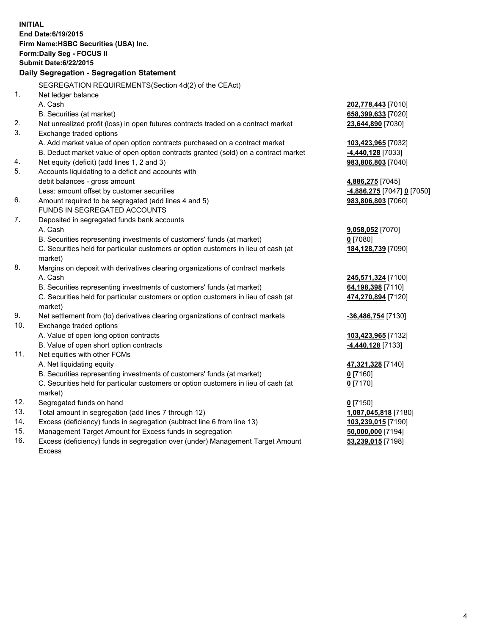| <b>INITIAL</b> | End Date: 6/19/2015<br>Firm Name: HSBC Securities (USA) Inc.                                                  |                           |
|----------------|---------------------------------------------------------------------------------------------------------------|---------------------------|
|                | Form: Daily Seg - FOCUS II<br><b>Submit Date:6/22/2015</b>                                                    |                           |
|                | Daily Segregation - Segregation Statement                                                                     |                           |
|                |                                                                                                               |                           |
|                | SEGREGATION REQUIREMENTS(Section 4d(2) of the CEAct)                                                          |                           |
| 1.             | Net ledger balance                                                                                            |                           |
|                | A. Cash                                                                                                       | 202,778,443 [7010]        |
|                | B. Securities (at market)                                                                                     | 658,399,633 [7020]        |
| 2.<br>3.       | Net unrealized profit (loss) in open futures contracts traded on a contract market<br>Exchange traded options | 23,644,890 [7030]         |
|                | A. Add market value of open option contracts purchased on a contract market                                   | 103,423,965 [7032]        |
|                | B. Deduct market value of open option contracts granted (sold) on a contract market                           | 4,440,128 [7033]          |
| 4.             | Net equity (deficit) (add lines 1, 2 and 3)                                                                   | 983,806,803 [7040]        |
| 5.             | Accounts liquidating to a deficit and accounts with                                                           |                           |
|                | debit balances - gross amount                                                                                 | 4,886,275 [7045]          |
|                | Less: amount offset by customer securities                                                                    | 4,886,275 [7047] 0 [7050] |
| 6.             | Amount required to be segregated (add lines 4 and 5)                                                          | 983,806,803 [7060]        |
|                | FUNDS IN SEGREGATED ACCOUNTS                                                                                  |                           |
| 7.             | Deposited in segregated funds bank accounts                                                                   |                           |
|                | A. Cash                                                                                                       | 9,058,052 [7070]          |
|                | B. Securities representing investments of customers' funds (at market)                                        | $0$ [7080]                |
|                | C. Securities held for particular customers or option customers in lieu of cash (at<br>market)                | 184,128,739 [7090]        |
| 8.             | Margins on deposit with derivatives clearing organizations of contract markets                                |                           |
|                | A. Cash                                                                                                       | 245,571,324 [7100]        |
|                | B. Securities representing investments of customers' funds (at market)                                        | 64,198,398 [7110]         |
|                | C. Securities held for particular customers or option customers in lieu of cash (at<br>market)                | 474,270,894 [7120]        |
| 9.             | Net settlement from (to) derivatives clearing organizations of contract markets                               | -36,486,754 [7130]        |
| 10.            | Exchange traded options                                                                                       |                           |
|                | A. Value of open long option contracts                                                                        | 103,423,965 [7132]        |
|                | B. Value of open short option contracts                                                                       | -4,440,128 [7133]         |
| 11.            | Net equities with other FCMs                                                                                  |                           |
|                | A. Net liquidating equity                                                                                     | 47,321,328 [7140]         |
|                | B. Securities representing investments of customers' funds (at market)                                        | 0 [7160]                  |
|                | C. Securities held for particular customers or option customers in lieu of cash (at<br>market)                | $0$ [7170]                |
| 12.            | Segregated funds on hand                                                                                      | $0$ [7150]                |
| 13.            | Total amount in segregation (add lines 7 through 12)                                                          | 1,087,045,818 [7180]      |
| 14.            | Excess (deficiency) funds in segregation (subtract line 6 from line 13)                                       | 103,239,015 [7190]        |
| 15.            | Management Target Amount for Excess funds in segregation                                                      | 50,000,000 [7194]         |
| 16.            | Excess (deficiency) funds in segregation over (under) Management Target Amount                                | 53,239,015 [7198]         |

16. Excess (deficiency) funds in segregation over (under) Management Target Amount Excess